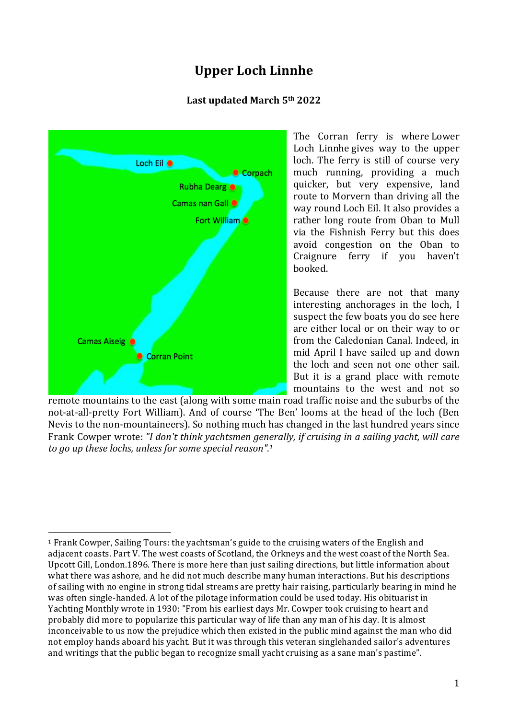# **Upper Loch Linnhe**

### **Last updated March 5th 2022**



The Corran ferry is where Lower Loch Linnhe gives way to the upper loch. The ferry is still of course very much running, providing a much quicker, but very expensive, land route to Morvern than driving all the way round Loch Eil. It also provides a rather long route from Oban to Mull via the Fishnish Ferry but this does avoid congestion on the Oban to Craignure ferry if you haven't booked.

Because there are not that many interesting anchorages in the loch, I suspect the few boats you do see here are either local or on their way to or from the Caledonian Canal. Indeed, in mid April I have sailed up and down the loch and seen not one other sail. But it is a grand place with remote mountains to the west and not so

remote mountains to the east (along with some main road traffic noise and the suburbs of the not-at-all-pretty Fort William). And of course 'The Ben' looms at the head of the loch (Ben Nevis to the non-mountaineers). So nothing much has changed in the last hundred years since Frank Cowper wrote: *"I don't think yachtsmen generally, if cruising in a sailing yacht, will care to go up these lochs, unless for some special reason". 1*

 <sup>1</sup> Frank Cowper, Sailing Tours: the yachtsman's guide to the cruising waters of the English and adiacent coasts. Part V. The west coasts of Scotland, the Orkneys and the west coast of the North Sea. Upcott Gill, London.1896. There is more here than just sailing directions, but little information about what there was ashore, and he did not much describe many human interactions. But his descriptions of sailing with no engine in strong tidal streams are pretty hair raising, particularly bearing in mind he was often single-handed. A lot of the pilotage information could be used today. His obituarist in Yachting Monthly wrote in 1930: "From his earliest days Mr. Cowper took cruising to heart and probably did more to popularize this particular way of life than any man of his day. It is almost inconceivable to us now the prejudice which then existed in the public mind against the man who did not employ hands aboard his yacht. But it was through this veteran singlehanded sailor's adventures and writings that the public began to recognize small yacht cruising as a sane man's pastime".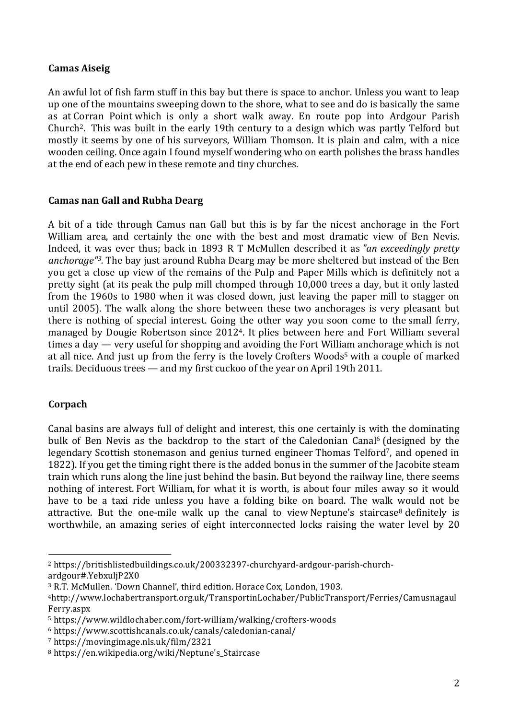### **Camas Aiseig**

An awful lot of fish farm stuff in this bay but there is space to anchor. Unless you want to leap up one of the mountains sweeping down to the shore, what to see and do is basically the same as at Corran Point which is only a short walk away. En route pop into Ardgour Parish Church2. This was built in the early 19th century to a design which was partly Telford but mostly it seems by one of his surveyors, William Thomson. It is plain and calm, with a nice wooden ceiling. Once again I found myself wondering who on earth polishes the brass handles at the end of each pew in these remote and tiny churches.

#### **Camas nan Gall and Rubha Dearg**

A bit of a tide through Camus nan Gall but this is by far the nicest anchorage in the Fort William area, and certainly the one with the best and most dramatic view of Ben Nevis. Indeed, it was ever thus; back in 1893 R T McMullen described it as *"an exceedingly pretty anchorage"3.* The bay just around Rubha Dearg may be more sheltered but instead of the Ben you get a close up view of the remains of the Pulp and Paper Mills which is definitely not a pretty sight (at its peak the pulp mill chomped through 10,000 trees a day, but it only lasted from the 1960s to 1980 when it was closed down, just leaving the paper mill to stagger on until 2005). The walk along the shore between these two anchorages is very pleasant but there is nothing of special interest. Going the other way you soon come to the small ferry, managed by Dougie Robertson since 20124. It plies between here and Fort William several times a day — very useful for shopping and avoiding the Fort William anchorage which is not at all nice. And just up from the ferry is the lovely Crofters Woods<sup>5</sup> with a couple of marked trails. Deciduous trees — and my first cuckoo of the year on April 19th 2011.

# **Corpach**

Canal basins are always full of delight and interest, this one certainly is with the dominating bulk of Ben Nevis as the backdrop to the start of the Caledonian Canal<sup>6</sup> (designed by the legendary Scottish stonemason and genius turned engineer Thomas Telford<sup>7</sup>, and opened in 1822). If you get the timing right there is the added bonus in the summer of the Jacobite steam train which runs along the line just behind the basin. But beyond the railway line, there seems nothing of interest. Fort William, for what it is worth, is about four miles away so it would have to be a taxi ride unless you have a folding bike on board. The walk would not be attractive. But the one-mile walk up the canal to view Neptune's staircase<sup>8</sup> definitely is worthwhile, an amazing series of eight interconnected locks raising the water level by 20

 

<sup>2</sup> https://britishlistedbuildings.co.uk/200332397-churchyard-ardgour-parish-churchardgour#.YebxuljP2X0

<sup>&</sup>lt;sup>3</sup> R.T. McMullen. 'Down Channel', third edition. Horace Cox, London, 1903.

<sup>4</sup>http://www.lochabertransport.org.uk/TransportinLochaber/PublicTransport/Ferries/Camusnagaul Ferry.aspx

<sup>5</sup> https://www.wildlochaber.com/fort-william/walking/crofters-woods

<sup>6</sup> https://www.scottishcanals.co.uk/canals/caledonian-canal/

<sup>7</sup> https://movingimage.nls.uk/film/2321

<sup>8</sup> https://en.wikipedia.org/wiki/Neptune's\_Staircase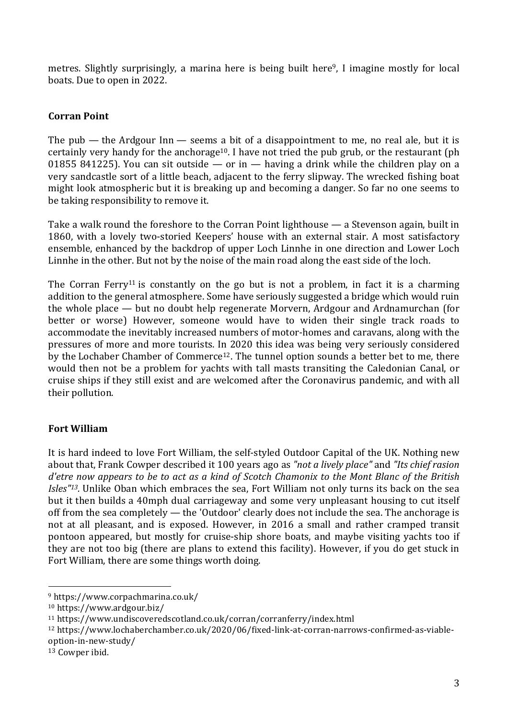metres. Slightly surprisingly, a marina here is being built here<sup>9</sup>, I imagine mostly for local boats. Due to open in 2022.

# **Corran Point**

The pub — the Ardgour  $\text{In}$  — seems a bit of a disappointment to me, no real ale, but it is certainly very handy for the anchorage<sup>10</sup>. I have not tried the pub grub, or the restaurant (ph 01855 841225). You can sit outside  $-$  or in  $-$  having a drink while the children play on a very sandcastle sort of a little beach, adjacent to the ferry slipway. The wrecked fishing boat might look atmospheric but it is breaking up and becoming a danger. So far no one seems to be taking responsibility to remove it.

Take a walk round the foreshore to the Corran Point lighthouse — a Stevenson again, built in 1860, with a lovely two-storied Keepers' house with an external stair. A most satisfactory ensemble, enhanced by the backdrop of upper Loch Linnhe in one direction and Lower Loch Linnhe in the other. But not by the noise of the main road along the east side of the loch.

The Corran Ferry<sup>11</sup> is constantly on the go but is not a problem, in fact it is a charming addition to the general atmosphere. Some have seriously suggested a bridge which would ruin the whole place — but no doubt help regenerate Morvern, Ardgour and Ardnamurchan (for better or worse) However, someone would have to widen their single track roads to accommodate the inevitably increased numbers of motor-homes and caravans, along with the pressures of more and more tourists. In 2020 this idea was being very seriously considered by the Lochaber Chamber of Commerce12. The tunnel option sounds a better bet to me, there would then not be a problem for yachts with tall masts transiting the Caledonian Canal, or cruise ships if they still exist and are welcomed after the Coronavirus pandemic, and with all their pollution.

# **Fort William**

It is hard indeed to love Fort William, the self-styled Outdoor Capital of the UK. Nothing new about that, Frank Cowper described it 100 years ago as *"not a lively place"* and *"Its chief rasion* d'etre now appears to be to act as a kind of Scotch Chamonix to the Mont Blanc of the British *Isles"13.* Unlike Oban which embraces the sea, Fort William not only turns its back on the sea but it then builds a 40mph dual carriageway and some very unpleasant housing to cut itself off from the sea completely — the 'Outdoor' clearly does not include the sea. The anchorage is not at all pleasant, and is exposed. However, in 2016 a small and rather cramped transit pontoon appeared, but mostly for cruise-ship shore boats, and maybe visiting yachts too if they are not too big (there are plans to extend this facility). However, if you do get stuck in Fort William, there are some things worth doing.

 

<sup>9</sup> https://www.corpachmarina.co.uk/

<sup>10</sup> https://www.ardgour.biz/

<sup>11</sup> https://www.undiscoveredscotland.co.uk/corran/corranferry/index.html

<sup>12</sup> https://www.lochaberchamber.co.uk/2020/06/fixed-link-at-corran-narrows-confirmed-as-viableoption-in-new-study/

 $13$  Cowper ibid.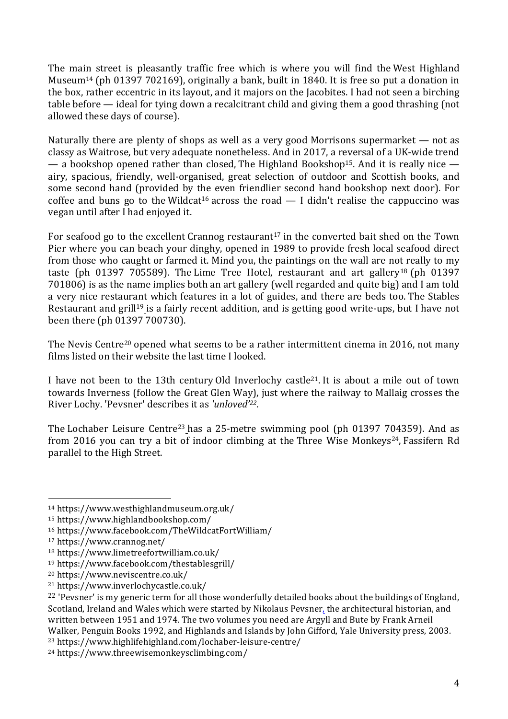The main street is pleasantly traffic free which is where you will find the West Highland Museum14 (ph 01397 702169), originally a bank, built in 1840. It is free so put a donation in the box, rather eccentric in its layout, and it majors on the Jacobites. I had not seen a birching table before — ideal for tying down a recalcitrant child and giving them a good thrashing (not allowed these days of course).

Naturally there are plenty of shops as well as a very good Morrisons supermarket — not as classy as Waitrose, but very adequate nonetheless. And in 2017, a reversal of a UK-wide trend — a bookshop opened rather than closed, The Highland Bookshop<sup>15</sup>. And it is really nice airy, spacious, friendly, well-organised, great selection of outdoor and Scottish books, and some second hand (provided by the even friendlier second hand bookshop next door). For coffee and buns go to the Wildcat<sup>16</sup> across the road  $-1$  didn't realise the cappuccino was vegan until after I had enjoyed it.

For seafood go to the excellent Crannog restaurant<sup>17</sup> in the converted bait shed on the Town Pier where you can beach your dinghy, opened in 1989 to provide fresh local seafood direct from those who caught or farmed it. Mind you, the paintings on the wall are not really to my taste (ph 01397 705589). The Lime Tree Hotel, restaurant and art gallery<sup>18</sup> (ph 01397 701806) is as the name implies both an art gallery (well regarded and quite big) and I am told a very nice restaurant which features in a lot of guides, and there are beds too. The Stables Restaurant and grill<sup>19</sup> is a fairly recent addition, and is getting good write-ups, but I have not been there (ph 01397 700730).

The Nevis Centre<sup>20</sup> opened what seems to be a rather intermittent cinema in 2016, not many films listed on their website the last time I looked.

I have not been to the 13th century Old Inverlochy castle21. It is about a mile out of town towards Inverness (follow the Great Glen Way), just where the railway to Mallaig crosses the River Lochy. 'Pevsner' describes it as *'unloved' 22.*

The Lochaber Leisure Centre<sup>23</sup> has a 25-metre swimming pool (ph 01397 704359). And as from 2016 you can try a bit of indoor climbing at the Three Wise Monkeys<sup>24</sup>, Fassifern Rd parallel to the High Street.

 

<sup>23</sup> https://www.highlifehighland.com/lochaber-leisure-centre/

<sup>14</sup> https://www.westhighlandmuseum.org.uk/

<sup>15</sup> https://www.highlandbookshop.com/

<sup>16</sup> https://www.facebook.com/TheWildcatFortWilliam/

<sup>17</sup> https://www.crannog.net/

<sup>18</sup> https://www.limetreefortwilliam.co.uk/

<sup>19</sup> https://www.facebook.com/thestablesgrill/

<sup>20</sup> https://www.neviscentre.co.uk/

<sup>21</sup> https://www.inverlochycastle.co.uk/

<sup>&</sup>lt;sup>22</sup> 'Pevsner' is my generic term for all those wonderfully detailed books about the buildings of England, Scotland, Ireland and Wales which were started by Nikolaus Pevsner, the architectural historian, and written between 1951 and 1974. The two volumes you need are Argyll and Bute by Frank Arneil Walker, Penguin Books 1992, and Highlands and Islands by John Gifford, Yale University press, 2003.

<sup>24</sup> https://www.threewisemonkeysclimbing.com/